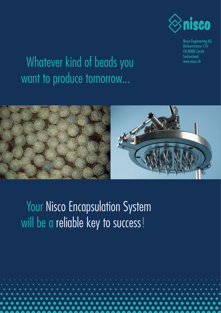

Nisco Engineering AG Dufourstrasse 110 CH-8008 Zurich Switzerland www.nisco.ch

## Whatever kind of beads you want to produce tomorrow...



Your Nisco Encapsulation System will be a reliable key to success!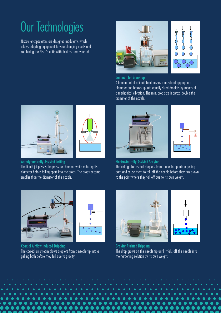# Our Technologies

Nisco's encapsulators are designed modularly, which allows adapting equipment to your changing needs and combining the Nisco's units with devices from your lab.



#### Laminar Jet Break-up

A laminar jet of a liquid feed passes a nozzle of appropriate diameter and breaks up into equally sized droplets by means of a mechanical vibration. The min. drop size is aprox. double the diameter of the nozzle.





Aerodynamically Assisted Jetting The liquid jet passes the pressure chamber while reducing its diameter before falling apart into the drops. The drops become smaller than the diameter of the nozzle.



Ð

### Electrostatically Assisted Sprying The voltage forces pull droplets from a needle tip into a gelling bath and cause them to fall off the needle before they has grown to the point where they fall off due to its own weight.



Coaxial Airflow Induced Dripping The coaxial air stream blows droplets from a needle tip into a gelling bath before they fall due to gravity.



Gravity Assisted Dripping The drop grows on the needle tip until it falls off the needle into the hardening solution by its own weight.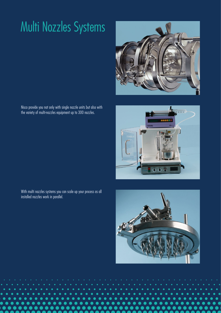## Multi Nozzles Systems

Nisco provide you not only with single nozzle units but also with the variety of multi-nozzles equipment up to 300 nozzles.

 $000$ 

With multi nozzles systems you can scale up your process as all installed nozzles work in parallel.